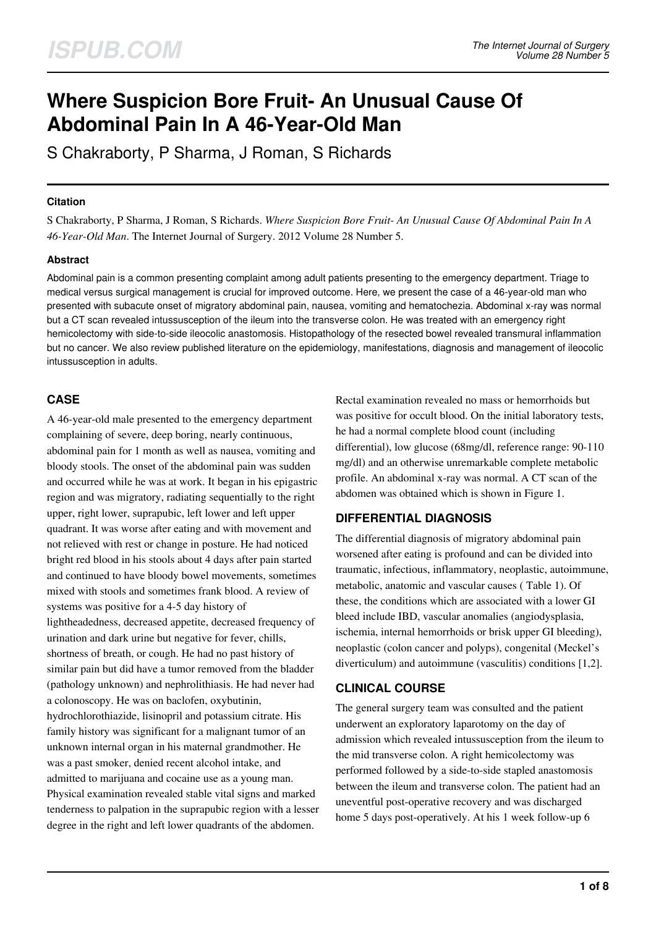# **Where Suspicion Bore Fruit- An Unusual Cause Of Abdominal Pain In A 46-Year-Old Man**

S Chakraborty, P Sharma, J Roman, S Richards

#### **Citation**

S Chakraborty, P Sharma, J Roman, S Richards. *Where Suspicion Bore Fruit- An Unusual Cause Of Abdominal Pain In A 46-Year-Old Man*. The Internet Journal of Surgery. 2012 Volume 28 Number 5.

## **Abstract**

Abdominal pain is a common presenting complaint among adult patients presenting to the emergency department. Triage to medical versus surgical management is crucial for improved outcome. Here, we present the case of a 46-year-old man who presented with subacute onset of migratory abdominal pain, nausea, vomiting and hematochezia. Abdominal x-ray was normal but a CT scan revealed intussusception of the ileum into the transverse colon. He was treated with an emergency right hemicolectomy with side-to-side ileocolic anastomosis. Histopathology of the resected bowel revealed transmural inflammation but no cancer. We also review published literature on the epidemiology, manifestations, diagnosis and management of ileocolic intussusception in adults.

## **CASE**

A 46-year-old male presented to the emergency department complaining of severe, deep boring, nearly continuous, abdominal pain for 1 month as well as nausea, vomiting and bloody stools. The onset of the abdominal pain was sudden and occurred while he was at work. It began in his epigastric region and was migratory, radiating sequentially to the right upper, right lower, suprapubic, left lower and left upper quadrant. It was worse after eating and with movement and not relieved with rest or change in posture. He had noticed bright red blood in his stools about 4 days after pain started and continued to have bloody bowel movements, sometimes mixed with stools and sometimes frank blood. A review of systems was positive for a 4-5 day history of lightheadedness, decreased appetite, decreased frequency of urination and dark urine but negative for fever, chills, shortness of breath, or cough. He had no past history of similar pain but did have a tumor removed from the bladder (pathology unknown) and nephrolithiasis. He had never had a colonoscopy. He was on baclofen, oxybutinin, hydrochlorothiazide, lisinopril and potassium citrate. His family history was significant for a malignant tumor of an unknown internal organ in his maternal grandmother. He was a past smoker, denied recent alcohol intake, and admitted to marijuana and cocaine use as a young man. Physical examination revealed stable vital signs and marked tenderness to palpation in the suprapubic region with a lesser degree in the right and left lower quadrants of the abdomen.

Rectal examination revealed no mass or hemorrhoids but was positive for occult blood. On the initial laboratory tests, he had a normal complete blood count (including differential), low glucose (68mg/dl, reference range: 90-110 mg/dl) and an otherwise unremarkable complete metabolic profile. An abdominal x-ray was normal. A CT scan of the abdomen was obtained which is shown in Figure 1.

## **DIFFERENTIAL DIAGNOSIS**

The differential diagnosis of migratory abdominal pain worsened after eating is profound and can be divided into traumatic, infectious, inflammatory, neoplastic, autoimmune, metabolic, anatomic and vascular causes ( Table 1). Of these, the conditions which are associated with a lower GI bleed include IBD, vascular anomalies (angiodysplasia, ischemia, internal hemorrhoids or brisk upper GI bleeding), neoplastic (colon cancer and polyps), congenital (Meckel's diverticulum) and autoimmune (vasculitis) conditions [1,2].

## **CLINICAL COURSE**

The general surgery team was consulted and the patient underwent an exploratory laparotomy on the day of admission which revealed intussusception from the ileum to the mid transverse colon. A right hemicolectomy was performed followed by a side-to-side stapled anastomosis between the ileum and transverse colon. The patient had an uneventful post-operative recovery and was discharged home 5 days post-operatively. At his 1 week follow-up 6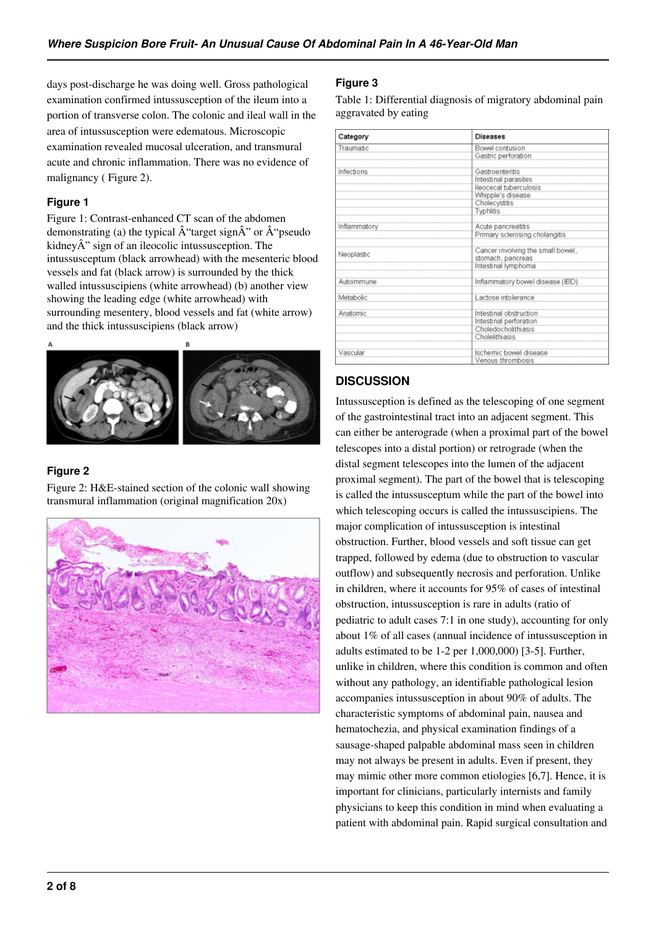days post-discharge he was doing well. Gross pathological examination confirmed intussusception of the ileum into a portion of transverse colon. The colonic and ileal wall in the area of intussusception were edematous. Microscopic examination revealed mucosal ulceration, and transmural acute and chronic inflammation. There was no evidence of malignancy ( Figure 2).

## **Figure 1**

Figure 1: Contrast-enhanced CT scan of the abdomen demonstrating (a) the typical  $\hat{A}$ "target sign $\hat{A}$ " or  $\hat{A}$ "pseudo kidney $\hat{A}$ " sign of an ileocolic intussusception. The intussusceptum (black arrowhead) with the mesenteric blood vessels and fat (black arrow) is surrounded by the thick walled intussuscipiens (white arrowhead) (b) another view showing the leading edge (white arrowhead) with surrounding mesentery, blood vessels and fat (white arrow) and the thick intussuscipiens (black arrow)



## **Figure 2**

Figure 2: H&E-stained section of the colonic wall showing transmural inflammation (original magnification 20x)



## **Figure 3**

Table 1: Differential diagnosis of migratory abdominal pain aggravated by eating

| Category     | <b>Diseases</b>                                                               |  |  |  |  |
|--------------|-------------------------------------------------------------------------------|--|--|--|--|
| Traumatic    | Bowel contusion                                                               |  |  |  |  |
|              | Gastric perforation                                                           |  |  |  |  |
|              |                                                                               |  |  |  |  |
| Infections   | Gastroenteritis                                                               |  |  |  |  |
|              | Intestinal parasites                                                          |  |  |  |  |
|              | lleocecal tuberculosis                                                        |  |  |  |  |
|              | Whipple's disease                                                             |  |  |  |  |
|              | Cholecystitis                                                                 |  |  |  |  |
|              | Typhlitis                                                                     |  |  |  |  |
| Inflammatory | Acute pancreatitis                                                            |  |  |  |  |
|              | Primary sclerosing cholangitis                                                |  |  |  |  |
| Neoplastic   | Cancer involving the small bowel,<br>stomach, pancreas<br>Intestinal lymphoma |  |  |  |  |
| Autoimmune   | Inflammatory bowel disease (IBD)                                              |  |  |  |  |
| Metabolic    | Lactose intolerance                                                           |  |  |  |  |
| Anatomic     | Intestinal obstruction                                                        |  |  |  |  |
|              | Intestinal perforation                                                        |  |  |  |  |
|              | Choledocholithiasis                                                           |  |  |  |  |
|              | Cholelithiasis                                                                |  |  |  |  |
| Vascular     | Ischemic bowel disease                                                        |  |  |  |  |
|              | Venous thrombosis                                                             |  |  |  |  |
|              |                                                                               |  |  |  |  |

# **DISCUSSION**

Intussusception is defined as the telescoping of one segment of the gastrointestinal tract into an adjacent segment. This can either be anterograde (when a proximal part of the bowel telescopes into a distal portion) or retrograde (when the distal segment telescopes into the lumen of the adjacent proximal segment). The part of the bowel that is telescoping is called the intussusceptum while the part of the bowel into which telescoping occurs is called the intussuscipiens. The major complication of intussusception is intestinal obstruction. Further, blood vessels and soft tissue can get trapped, followed by edema (due to obstruction to vascular outflow) and subsequently necrosis and perforation. Unlike in children, where it accounts for 95% of cases of intestinal obstruction, intussusception is rare in adults (ratio of pediatric to adult cases 7:1 in one study), accounting for only about 1% of all cases (annual incidence of intussusception in adults estimated to be 1-2 per 1,000,000) [3-5]. Further, unlike in children, where this condition is common and often without any pathology, an identifiable pathological lesion accompanies intussusception in about 90% of adults. The characteristic symptoms of abdominal pain, nausea and hematochezia, and physical examination findings of a sausage-shaped palpable abdominal mass seen in children may not always be present in adults. Even if present, they may mimic other more common etiologies [6,7]. Hence, it is important for clinicians, particularly internists and family physicians to keep this condition in mind when evaluating a patient with abdominal pain. Rapid surgical consultation and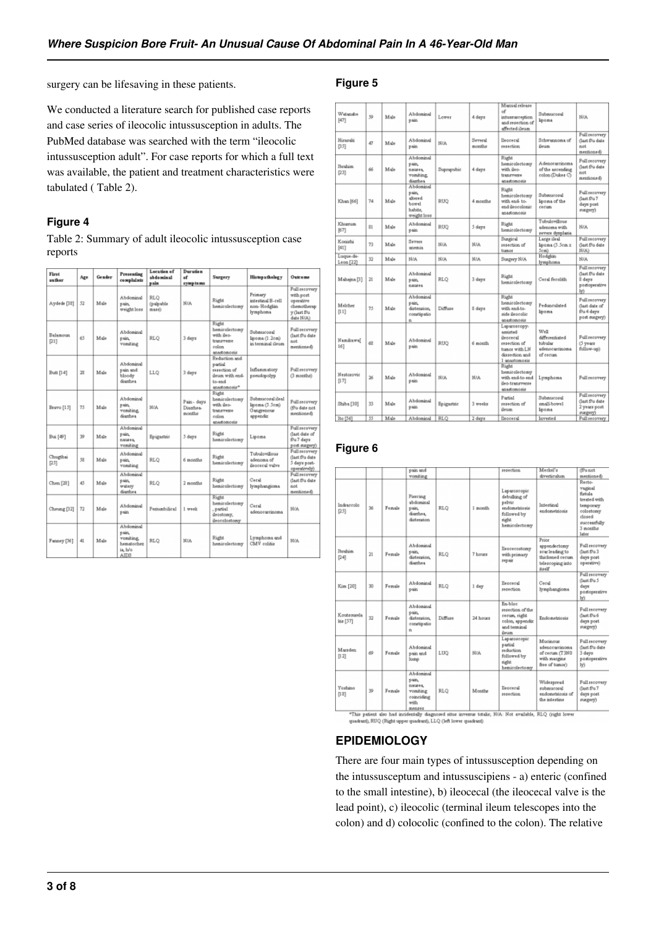surgery can be lifesaving in these patients.

#### **Figure 5**

We conducted a literature search for published case reports and case series of ileocolic intussusception in adults. The PubMed database was searched with the term "ileocolic intussusception adult". For case reports for which a full text was available, the patient and treatment characteristics were tabulated ( Table 2).

#### **Figure 4**

Table 2: Summary of adult ileocolic intussusception case reports

| First<br>author  | Age | Gender | <b>Presenting</b><br>complaints                                | Lecation of<br>Iceimabdo<br>pain      | Duration.<br>۵f<br>symptoms     | Surgery                                                                               | <b>Histopathology</b>                                        | Outcome                                                                            |
|------------------|-----|--------|----------------------------------------------------------------|---------------------------------------|---------------------------------|---------------------------------------------------------------------------------------|--------------------------------------------------------------|------------------------------------------------------------------------------------|
| Aydede [38]      | 52  | Male   | <b>Abdominal</b><br>pain.<br>treight loss                      | RLO<br>(palpable)<br>$_{\text{mass}}$ | N/A                             | Right.<br>hemicolectomy                                                               | Primary<br>intestinal B-cell<br>non-Hodglin<br>lymphoma      | Full recovery<br>with post<br>operative<br>chemotherap<br>y (last f/u<br>date N/A) |
| Balamoun<br>711  | 65  | Male   | IscinnobotA<br>pain<br>vonting                                 | RLO                                   | 3 days                          | Right.<br>hemicolectomy<br>with ileo-<br>transverse<br>colon<br>anastomosis           | Submucosal<br>lisoma (1.2cm)<br>in terminal ileum.           | Full recovery<br>(last f/u date<br>not<br>mentioned)                               |
| Butt [14]        | 28  | Male   | Abdominal<br>pain and<br>bloody<br>diamhea                     | LLO                                   | 3 days                          | Reduction and<br>partial<br>regection of<br>ileum with end-<br>to-end<br>anastomosis* | Inflammatory<br>pseudopolyp                                  | <b>Full recovery</b><br>(3 months)                                                 |
| Bravo [15]       | 75  | Male   | Abdominal<br>pain.<br>vomiting.<br>diamhea                     | N/A                                   | Pain-days<br>Diambas.<br>months | Right<br>hemicolectomy<br>with ileo-<br>transverse<br>eslan<br>anastomosis            | Submucosal ileal<br>lipoma (5.5em)<br>Gangrenous<br>appendix | <b>Full recovery</b><br>(f/u data not<br>mentioned)                                |
| Bui [49]         | 39  | Male   | Abdominal<br>pain<br>nausea.<br>vomiting                       | Epigustric                            | 5 days                          | <b>Right</b><br>hemicolectomy                                                         | Lipoma                                                       | <b>Full recovery</b><br>(last date of<br>fra 7 days<br>post surgery)               |
| Chugthai<br>[25] | 处   | Male   | Abdominal<br>pain<br>voniting                                  | RLO                                   | 6 months                        | Right<br>hemicolectomy                                                                | Tubulovillous<br>adenoma of<br>depeneal valve                | Full recovery<br>(last f/u date<br>5 days post-<br>operatively)                    |
| Chen [28]        | 45  | Male   | IsminoboA<br>pain<br>watery<br>diamhea                         | RLO                                   | 2 months                        | Right.<br>hemicolectomy                                                               | Caral<br>lymphangiona                                        | Full recovery<br>(last f/u date)<br>not<br>mentioned)                              |
| Cheung [32]      | 72  | Male   | Abdominal<br>nein.                                             | Perismbilical                         | 1 treat:                        | Right.<br>hemicolectomy<br>sartial.<br>deostony.<br>deocolostomy                      | Ceral<br>adenocarrinoma                                      | <b>N/A</b>                                                                         |
| Fanney [56]      | 41  | Male   | Abdominal<br>pain<br>vonking.<br>hematochez<br>ia, h/o<br>AIDS | RLO                                   | N/A                             | Right<br>hemicolectomy                                                                | Lymphoma and<br>CMV colitis                                  | NIA                                                                                |

| Waterabe<br>[47]       | 59      | Male | Abdominal<br>nain                                                | Lower      | 4 days            | Manual release<br>аf<br>intussusception.<br>and resection of<br>affected ileum.                          | Submucosal<br>linoma                                             | <b>N/A</b>                                                         |
|------------------------|---------|------|------------------------------------------------------------------|------------|-------------------|----------------------------------------------------------------------------------------------------------|------------------------------------------------------------------|--------------------------------------------------------------------|
| Hirasaki<br>[35]       | 47      | Male | Abdominal<br>pain                                                | N/A        | Several<br>months | llenceral<br>regection                                                                                   | Schwannona of<br>ileum.                                          | Full recovery<br>(last Du date<br>not<br>mentioned)                |
| <b>Ibrahim</b><br>[23] | 66      | Male | Abdominal<br>nain<br>nausea,<br>voniting<br>diarrhea             | Suprapubic | 4 days            | Right<br>hemicolectomy<br>with ileo-<br>transverse<br>anastomosis                                        | Adenocarcinoma<br>of the arcending<br>colon (Dukes C)            | <b>Full recovery</b><br>(last f/u date<br>not<br>mentioned)        |
| Khan [66]              | 74      | Male | Abdominal<br>pain.<br>altered<br>bowel<br>habite.<br>weight loss | RUQ        | 4 months          | Right<br>hemicolectomy<br>with end- to-<br>end descolonic<br>anastomosis                                 | Submucosal<br>lisoma of the<br>cecum                             | Full recovery<br>(last f/u 7<br>days post<br>eurgery)              |
| Kharun.<br>[67]        | 81      | Male | Abdominal<br>pain                                                | RUO        | 5 days            | Right<br>hemicolectomy                                                                                   | Tubulovillous<br>adenoma with<br>zevere dyrplazia                | N/A                                                                |
| Konishi<br>[41]        | 73      | Male | Severa<br>anemia                                                 | N/A        | N/A               | Surgical<br>resection of<br>barrior                                                                      | Large ileal<br>lisoma (5.5cm x<br>Semb                           | Full recovery<br>(last f/u date<br>N/A)                            |
| Luque-de-<br>Leon [22] | 32      | Male | N/A                                                              | N/A        | <b>N/A</b>        | Surgery N/A                                                                                              | Hodgkin<br>lymphoma                                              | N/A                                                                |
| Mahama <sup>[3]</sup>  | $^{21}$ | Male | Abdominal<br>pain.<br>nausea                                     | RLO        | 3 days            | Right<br>hemicolectomy                                                                                   | Ceral ferolith                                                   | Full recovery<br>(last Du date<br>2 days<br>postoperative<br>ly)   |
| Melcher<br>[11]        | 75      | Male | Abdominal<br>pain.<br>distension.<br>constipatio<br>n            | Diffuse    | 8 days            | Right<br>hemicolectomy<br>with end-to-<br>side ileocolic<br>anastomosis                                  | Pedunculated<br>lipoma                                           | Full recovery<br>(last date of<br>f/u 4 days<br>post surgery)      |
| Namikawa[<br>161       | ΚŻ      | Male | Abdominal<br>pain                                                | <b>RUO</b> | 6 month           | Laparoscopy-<br>Assistad<br>deocecal<br>resection of<br>tumor with LN<br>dissertion and<br>1 anastomosis | Well<br>differentiated<br>tubular<br>adenocarcinoma<br>of cectom | Full recovery<br>(5 years)<br>follow-up)                           |
| Nestoeovic<br>[17]     | 36      | Male | Abdominal<br>pain                                                | N/A        | N/A               | Right<br>hemicolectomy<br>with end-to-end<br>ilso-transverse<br>standomogic                              | Lymphoma                                                         | Full recovery                                                      |
| Shiba [30]             | 33      | Male | Abdominal<br>pain                                                | Epigwstric | 3 treeks          | Portial<br>resection of<br>ileum                                                                         | Submucos al<br>small-boure1<br>lipoma                            | <b>Full recovery</b><br>(last f/u date<br>2 years post<br>surgery) |
| Ito [56]               | 55      | Male | IsminoboA                                                        | RLO        | 2 days            | lleocered                                                                                                | Inverted                                                         | Full recovery                                                      |

## **Figure 6**

|                         |    |        | pain and<br>vomiting                                                                 |         |          | resection                                                                                         | Meckel's<br>diverticulum.                                                                  | (f/u not<br>mentioned)                                                                                                       |
|-------------------------|----|--------|--------------------------------------------------------------------------------------|---------|----------|---------------------------------------------------------------------------------------------------|--------------------------------------------------------------------------------------------|------------------------------------------------------------------------------------------------------------------------------|
| Indraccolo<br>[25]      | 36 | Female | Piercing<br>abdominal<br>tisker.<br>diambes.<br>distension                           | RLO     | 1 month  | Laparoscopic<br>debuilding of<br>pelvic<br>endometriosis<br>followed by<br>nght.<br>hemicolectomy | Intestinal<br>endometriosis                                                                | Recto-<br>vasinal<br><b>fistula</b><br>treated with<br>temporary<br>colostomy<br>closed<br>successfully<br>3 months<br>later |
| <b>Ibrahim</b><br>[24]  | 21 | Female | Abdominal<br>sain.<br>distension.<br>diambas                                         | RLO     | 7 hours  | lleocecostomy<br>with primary<br>герміг                                                           | Prior<br>appendectomy<br>scar leading to<br>thickened cerum.<br>telescoping into<br>itself | Full recovery<br>(last f/u3<br>days post<br>operative)                                                                       |
| Kin [20]                | 30 | Female | Abdominal<br>pain                                                                    | RLO     | 1 day    | <b>Heoreeal</b><br>resection                                                                      | Cecal<br>lymphangiona                                                                      | Full recovery<br>(last0u5)<br>days<br>postoperative<br>hň                                                                    |
| Koutsourela<br>kis [57] | 32 | Female | Ahdominal<br>sours.<br>distension.<br>constipatio<br>ń                               | Diffuse | 24 hours | En-blor<br>resection of the<br>cecum, right<br>colon, appendix<br><b>Semimar base</b><br>iletam.  | Endometriosis                                                                              | Full recovery<br>(last Pu 6<br>days post<br>suegery)                                                                         |
| Mareden<br>[12]         | 69 | Female | Abdominal<br>pain and<br>lump                                                        | LUO     | N/A      | Laparoscopic<br>partial<br>reduction.<br>followed by<br>nght.<br>hemicolectomy                    | Mucinous<br>adenocarrinoma<br>of eecum (T3N0)<br>with margins<br>free of tumor)            | Full recovery<br>(last f/u date)<br>3 days<br>postoperative<br>lv)                                                           |
| Yoshino<br>[13]         | 39 | Female | Abdominal<br>sain.<br>navarea.<br>voniting<br>enincidinar<br>with<br><b>Hybrises</b> | RLO     | Monthe   | Ileocecal<br>resertion.                                                                           | Widespread<br>Issonunture<br>endometriosis of<br>the intestine.                            | Full recovery<br>(last f/u7<br>days post<br>surgery)                                                                         |

us totalis, N/A: Not available, RLQ (right lower \*This patient also had incidentally diagnosed situs inversus tota<br>quadrant), RUQ (Right upper quadrant), LLQ (left lower quadrant)

## **EPIDEMIOLOGY**

There are four main types of intussusception depending on the intussusceptum and intussuscipiens - a) enteric (confined to the small intestine), b) ileocecal (the ileocecal valve is the lead point), c) ileocolic (terminal ileum telescopes into the colon) and d) colocolic (confined to the colon). The relative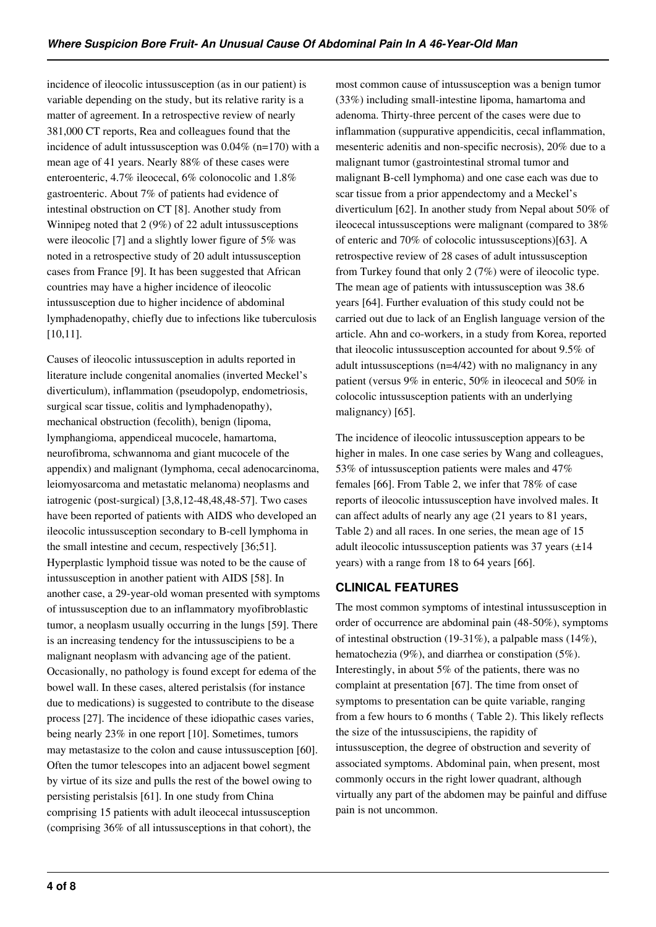incidence of ileocolic intussusception (as in our patient) is variable depending on the study, but its relative rarity is a matter of agreement. In a retrospective review of nearly 381,000 CT reports, Rea and colleagues found that the incidence of adult intussusception was 0.04% (n=170) with a mean age of 41 years. Nearly 88% of these cases were enteroenteric, 4.7% ileocecal, 6% colonocolic and 1.8% gastroenteric. About 7% of patients had evidence of intestinal obstruction on CT [8]. Another study from Winnipeg noted that 2 (9%) of 22 adult intussusceptions were ileocolic [7] and a slightly lower figure of 5% was noted in a retrospective study of 20 adult intussusception cases from France [9]. It has been suggested that African countries may have a higher incidence of ileocolic intussusception due to higher incidence of abdominal lymphadenopathy, chiefly due to infections like tuberculosis [10,11].

Causes of ileocolic intussusception in adults reported in literature include congenital anomalies (inverted Meckel's diverticulum), inflammation (pseudopolyp, endometriosis, surgical scar tissue, colitis and lymphadenopathy), mechanical obstruction (fecolith), benign (lipoma, lymphangioma, appendiceal mucocele, hamartoma, neurofibroma, schwannoma and giant mucocele of the appendix) and malignant (lymphoma, cecal adenocarcinoma, leiomyosarcoma and metastatic melanoma) neoplasms and iatrogenic (post-surgical) [3,8,12-48,48,48-57]. Two cases have been reported of patients with AIDS who developed an ileocolic intussusception secondary to B-cell lymphoma in the small intestine and cecum, respectively [36;51]. Hyperplastic lymphoid tissue was noted to be the cause of intussusception in another patient with AIDS [58]. In another case, a 29-year-old woman presented with symptoms of intussusception due to an inflammatory myofibroblastic tumor, a neoplasm usually occurring in the lungs [59]. There is an increasing tendency for the intussuscipiens to be a malignant neoplasm with advancing age of the patient. Occasionally, no pathology is found except for edema of the bowel wall. In these cases, altered peristalsis (for instance due to medications) is suggested to contribute to the disease process [27]. The incidence of these idiopathic cases varies, being nearly 23% in one report [10]. Sometimes, tumors may metastasize to the colon and cause intussusception [60]. Often the tumor telescopes into an adjacent bowel segment by virtue of its size and pulls the rest of the bowel owing to persisting peristalsis [61]. In one study from China comprising 15 patients with adult ileocecal intussusception (comprising 36% of all intussusceptions in that cohort), the

most common cause of intussusception was a benign tumor (33%) including small-intestine lipoma, hamartoma and adenoma. Thirty-three percent of the cases were due to inflammation (suppurative appendicitis, cecal inflammation, mesenteric adenitis and non-specific necrosis), 20% due to a malignant tumor (gastrointestinal stromal tumor and malignant B-cell lymphoma) and one case each was due to scar tissue from a prior appendectomy and a Meckel's diverticulum [62]. In another study from Nepal about 50% of ileocecal intussusceptions were malignant (compared to 38% of enteric and 70% of colocolic intussusceptions)[63]. A retrospective review of 28 cases of adult intussusception from Turkey found that only 2 (7%) were of ileocolic type. The mean age of patients with intussusception was 38.6 years [64]. Further evaluation of this study could not be carried out due to lack of an English language version of the article. Ahn and co-workers, in a study from Korea, reported that ileocolic intussusception accounted for about 9.5% of adult intussusceptions (n=4/42) with no malignancy in any patient (versus 9% in enteric, 50% in ileocecal and 50% in colocolic intussusception patients with an underlying malignancy) [65].

The incidence of ileocolic intussusception appears to be higher in males. In one case series by Wang and colleagues, 53% of intussusception patients were males and 47% females [66]. From Table 2, we infer that 78% of case reports of ileocolic intussusception have involved males. It can affect adults of nearly any age (21 years to 81 years, Table 2) and all races. In one series, the mean age of 15 adult ileocolic intussusception patients was  $37$  years ( $\pm 14$ ) years) with a range from 18 to 64 years [66].

## **CLINICAL FEATURES**

The most common symptoms of intestinal intussusception in order of occurrence are abdominal pain (48-50%), symptoms of intestinal obstruction (19-31%), a palpable mass (14%), hematochezia (9%), and diarrhea or constipation (5%). Interestingly, in about 5% of the patients, there was no complaint at presentation [67]. The time from onset of symptoms to presentation can be quite variable, ranging from a few hours to 6 months ( Table 2). This likely reflects the size of the intussuscipiens, the rapidity of intussusception, the degree of obstruction and severity of associated symptoms. Abdominal pain, when present, most commonly occurs in the right lower quadrant, although virtually any part of the abdomen may be painful and diffuse pain is not uncommon.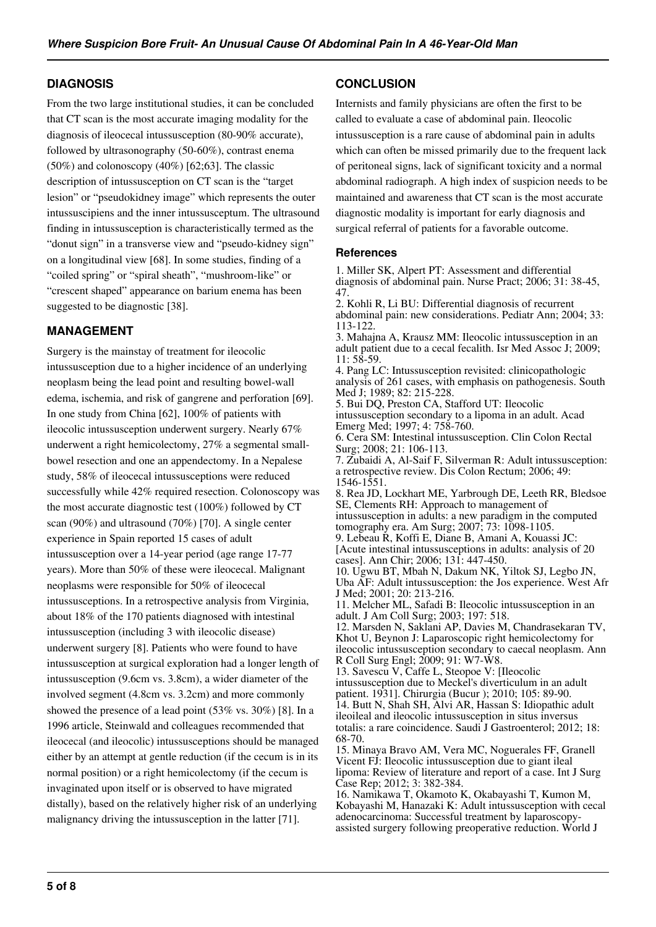## **DIAGNOSIS**

From the two large institutional studies, it can be concluded that CT scan is the most accurate imaging modality for the diagnosis of ileocecal intussusception (80-90% accurate), followed by ultrasonography (50-60%), contrast enema  $(50\%)$  and colonoscopy  $(40\%)$  [62;63]. The classic description of intussusception on CT scan is the "target lesion" or "pseudokidney image" which represents the outer intussuscipiens and the inner intussusceptum. The ultrasound finding in intussusception is characteristically termed as the "donut sign" in a transverse view and "pseudo-kidney sign" on a longitudinal view [68]. In some studies, finding of a "coiled spring" or "spiral sheath", "mushroom-like" or "crescent shaped" appearance on barium enema has been suggested to be diagnostic [38].

## **MANAGEMENT**

Surgery is the mainstay of treatment for ileocolic intussusception due to a higher incidence of an underlying neoplasm being the lead point and resulting bowel-wall edema, ischemia, and risk of gangrene and perforation [69]. In one study from China [62], 100% of patients with ileocolic intussusception underwent surgery. Nearly 67% underwent a right hemicolectomy, 27% a segmental smallbowel resection and one an appendectomy. In a Nepalese study, 58% of ileocecal intussusceptions were reduced successfully while 42% required resection. Colonoscopy was the most accurate diagnostic test (100%) followed by CT scan (90%) and ultrasound (70%) [70]. A single center experience in Spain reported 15 cases of adult intussusception over a 14-year period (age range 17-77 years). More than 50% of these were ileocecal. Malignant neoplasms were responsible for 50% of ileocecal intussusceptions. In a retrospective analysis from Virginia, about 18% of the 170 patients diagnosed with intestinal intussusception (including 3 with ileocolic disease) underwent surgery [8]. Patients who were found to have intussusception at surgical exploration had a longer length of intussusception (9.6cm vs. 3.8cm), a wider diameter of the involved segment (4.8cm vs. 3.2cm) and more commonly showed the presence of a lead point (53% vs. 30%) [8]. In a 1996 article, Steinwald and colleagues recommended that ileocecal (and ileocolic) intussusceptions should be managed either by an attempt at gentle reduction (if the cecum is in its normal position) or a right hemicolectomy (if the cecum is invaginated upon itself or is observed to have migrated distally), based on the relatively higher risk of an underlying malignancy driving the intussusception in the latter [71].

## **CONCLUSION**

Internists and family physicians are often the first to be called to evaluate a case of abdominal pain. Ileocolic intussusception is a rare cause of abdominal pain in adults which can often be missed primarily due to the frequent lack of peritoneal signs, lack of significant toxicity and a normal abdominal radiograph. A high index of suspicion needs to be maintained and awareness that CT scan is the most accurate diagnostic modality is important for early diagnosis and surgical referral of patients for a favorable outcome.

### **References**

1. Miller SK, Alpert PT: Assessment and differential diagnosis of abdominal pain. Nurse Pract; 2006; 31: 38-45, 47.

2. Kohli R, Li BU: Differential diagnosis of recurrent abdominal pain: new considerations. Pediatr Ann; 2004; 33: 113-122. 3. Mahajna A, Krausz MM: Ileocolic intussusception in an

adult patient due to a cecal fecalith. Isr Med Assoc J; 2009; 11: 58-59.

4. Pang LC: Intussusception revisited: clinicopathologic analysis of 261 cases, with emphasis on pathogenesis. South Med J; 1989; 82: 215-228.

5. Bui DQ, Preston CA, Stafford UT: Ileocolic intussusception secondary to a lipoma in an adult. Acad Emerg Med; 1997; 4: 758-760.

6. Cera SM: Intestinal intussusception. Clin Colon Rectal Surg; 2008; 21: 106-113.

7. Zubaidi A, Al-Saif F, Silverman R: Adult intussusception: a retrospective review. Dis Colon Rectum; 2006; 49: 1546-1551.

8. Rea JD, Lockhart ME, Yarbrough DE, Leeth RR, Bledsoe SE, Clements RH: Approach to management of intussusception in adults: a new paradigm in the computed tomography era. Am Surg; 2007; 73: 1098-1105.

9. Lebeau R, Koffi E, Diane B, Amani A, Kouassi JC: [Acute intestinal intussusceptions in adults: analysis of 20 cases]. Ann Chir; 2006; 131: 447-450.

10. Ugwu BT, Mbah N, Dakum NK, Yiltok SJ, Legbo JN, Uba AF: Adult intussusception: the Jos experience. West Afr J Med; 2001; 20: 213-216.

11. Melcher ML, Safadi B: Ileocolic intussusception in an adult. J Am Coll Surg; 2003; 197: 518.

12. Marsden N, Saklani AP, Davies M, Chandrasekaran TV, Khot U, Beynon J: Laparoscopic right hemicolectomy for ileocolic intussusception secondary to caecal neoplasm. Ann R Coll Surg Engl; 2009; 91: W7-W8.

13. Savescu V, Caffe L, Steopoe V: [Ileocolic intussusception due to Meckel's diverticulum in an adult patient. 1931]. Chirurgia (Bucur ); 2010; 105: 89-90. 14. Butt N, Shah SH, Alvi AR, Hassan S: Idiopathic adult ileoileal and ileocolic intussusception in situs inversus totalis: a rare coincidence. Saudi J Gastroenterol; 2012; 18: 68-70.

15. Minaya Bravo AM, Vera MC, Noguerales FF, Granell Vicent FJ: Ileocolic intussusception due to giant ileal lipoma: Review of literature and report of a case. Int J Surg Case Rep; 2012; 3: 382-384.

16. Namikawa T, Okamoto K, Okabayashi T, Kumon M, Kobayashi M, Hanazaki K: Adult intussusception with cecal adenocarcinoma: Successful treatment by laparoscopyassisted surgery following preoperative reduction. World J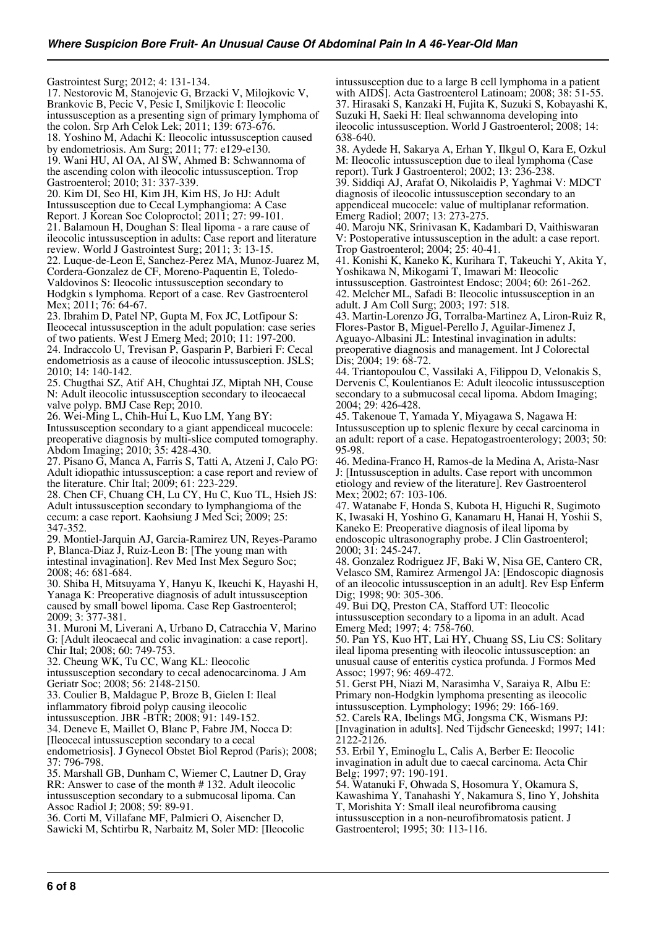Gastrointest Surg; 2012; 4: 131-134.

17. Nestorovic M, Stanojevic G, Brzacki V, Milojkovic V, Brankovic B, Pecic V, Pesic I, Smiljkovic I: Ileocolic intussusception as a presenting sign of primary lymphoma of the colon. Srp Arh Celok Lek; 2011; 139: 673-676. 18. Yoshino M, Adachi K: Ileocolic intussusception caused by endometriosis. Am Surg; 2011; 77: e129-e130. 19. Wani HU, Al OA, Al SW, Ahmed B: Schwannoma of

the ascending colon with ileocolic intussusception. Trop Gastroenterol; 2010; 31: 337-339.

20. Kim DI, Seo HI, Kim JH, Kim HS, Jo HJ: Adult Intussusception due to Cecal Lymphangioma: A Case Report. J Korean Soc Coloproctol; 2011; 27: 99-101. 21. Balamoun H, Doughan S: Ileal lipoma - a rare cause of

ileocolic intussusception in adults: Case report and literature review. World J Gastrointest Surg; 2011; 3: 13-15.

22. Luque-de-Leon E, Sanchez-Perez MA, Munoz-Juarez M, Cordera-Gonzalez de CF, Moreno-Paquentin E, Toledo-Valdovinos S: Ileocolic intussusception secondary to Hodgkin s lymphoma. Report of a case. Rev Gastroenterol Mex; 2011; 76: 64-67.

23. Ibrahim D, Patel NP, Gupta M, Fox JC, Lotfipour S: Ileocecal intussusception in the adult population: case series of two patients. West J Emerg Med; 2010; 11: 197-200. 24. Indraccolo U, Trevisan P, Gasparin P, Barbieri F: Cecal endometriosis as a cause of ileocolic intussusception. JSLS; 2010; 14: 140-142.

25. Chugthai SZ, Atif AH, Chughtai JZ, Miptah NH, Couse N: Adult ileocolic intussusception secondary to ileocaecal valve polyp. BMJ Case Rep; 2010.

26. Wei-Ming L, Chih-Hui L, Kuo LM, Yang BY: Intussusception secondary to a giant appendiceal mucocele: preoperative diagnosis by multi-slice computed tomography. Abdom Imaging; 2010; 35: 428-430.

27. Pisano G, Manca A, Farris S, Tatti A, Atzeni J, Calo PG: Adult idiopathic intussusception: a case report and review of the literature. Chir Ital; 2009; 61: 223-229.

28. Chen CF, Chuang CH, Lu CY, Hu C, Kuo TL, Hsieh JS: Adult intussusception secondary to lymphangioma of the cecum: a case report. Kaohsiung J Med Sci; 2009; 25: 347-352.

29. Montiel-Jarquin AJ, Garcia-Ramirez UN, Reyes-Paramo P, Blanca-Diaz J, Ruiz-Leon B: [The young man with intestinal invagination]. Rev Med Inst Mex Seguro Soc; 2008; 46: 681-684.

30. Shiba H, Mitsuyama Y, Hanyu K, Ikeuchi K, Hayashi H, Yanaga K: Preoperative diagnosis of adult intussusception caused by small bowel lipoma. Case Rep Gastroenterol; 2009; 3: 377-381.

31. Muroni M, Liverani A, Urbano D, Catracchia V, Marino G: [Adult ileocaecal and colic invagination: a case report]. Chir Ital; 2008; 60: 749-753.

32. Cheung WK, Tu CC, Wang KL: Ileocolic

intussusception secondary to cecal adenocarcinoma. J Am Geriatr Soc; 2008; 56: 2148-2150.

33. Coulier B, Maldague P, Broze B, Gielen I: Ileal

inflammatory fibroid polyp causing ileocolic

intussusception. JBR -BTR; 2008; 91: 149-152.

34. Deneve E, Maillet O, Blanc P, Fabre JM, Nocca D:

[Ileocecal intussusception secondary to a cecal

endometriosis]. J Gynecol Obstet Biol Reprod (Paris); 2008; 37: 796-798.

35. Marshall GB, Dunham C, Wiemer C, Lautner D, Gray RR: Answer to case of the month # 132. Adult ileocolic intussusception secondary to a submucosal lipoma. Can Assoc Radiol J; 2008; 59: 89-91.

36. Corti M, Villafane MF, Palmieri O, Aisencher D, Sawicki M, Schtirbu R, Narbaitz M, Soler MD: [Ileocolic intussusception due to a large B cell lymphoma in a patient with AIDS]. Acta Gastroenterol Latinoam; 2008; 38: 51-55. 37. Hirasaki S, Kanzaki H, Fujita K, Suzuki S, Kobayashi K, Suzuki H, Saeki H: Ileal schwannoma developing into ileocolic intussusception. World J Gastroenterol; 2008; 14: 638-640.

38. Aydede H, Sakarya A, Erhan Y, Ilkgul O, Kara E, Ozkul M: Ileocolic intussusception due to ileal lymphoma (Case report). Turk J Gastroenterol; 2002; 13: 236-238. 39. Siddiqi AJ, Arafat O, Nikolaidis P, Yaghmai V: MDCT diagnosis of ileocolic intussusception secondary to an appendiceal mucocele: value of multiplanar reformation. Emerg Radiol; 2007; 13: 273-275.

40. Maroju NK, Srinivasan K, Kadambari D, Vaithiswaran V: Postoperative intussusception in the adult: a case report. Trop Gastroenterol; 2004; 25: 40-41.

41. Konishi K, Kaneko K, Kurihara T, Takeuchi Y, Akita Y, Yoshikawa N, Mikogami T, Imawari M: Ileocolic intussusception. Gastrointest Endosc; 2004; 60: 261-262. 42. Melcher ML, Safadi B: Ileocolic intussusception in an adult. J Am Coll Surg; 2003; 197: 518.

43. Martin-Lorenzo JG, Torralba-Martinez A, Liron-Ruiz R, Flores-Pastor B, Miguel-Perello J, Aguilar-Jimenez J, Aguayo-Albasini JL: Intestinal invagination in adults: preoperative diagnosis and management. Int J Colorectal Dis; 2004; 19: 68-72.

44. Triantopoulou C, Vassilaki A, Filippou D, Velonakis S, Dervenis C, Koulentianos E: Adult ileocolic intussusception secondary to a submucosal cecal lipoma. Abdom Imaging; 2004; 29: 426-428.

45. Takenoue T, Yamada Y, Miyagawa S, Nagawa H: Intussusception up to splenic flexure by cecal carcinoma in an adult: report of a case. Hepatogastroenterology; 2003; 50: 95-98.

46. Medina-Franco H, Ramos-de la Medina A, Arista-Nasr J: [Intussusception in adults. Case report with uncommon etiology and review of the literature]. Rev Gastroenterol Mex; 2002; 67: 103-106.

47. Watanabe F, Honda S, Kubota H, Higuchi R, Sugimoto K, Iwasaki H, Yoshino G, Kanamaru H, Hanai H, Yoshii S, Kaneko E: Preoperative diagnosis of ileal lipoma by endoscopic ultrasonography probe. J Clin Gastroenterol; 2000; 31: 245-247.

48. Gonzalez Rodriguez JF, Baki W, Nisa GE, Cantero CR, Velasco SM, Ramirez Armengol JA: [Endoscopic diagnosis of an ileocolic intussusception in an adult]. Rev Esp Enferm Dig; 1998; 90: 305-306.

49. Bui DQ, Preston CA, Stafford UT: Ileocolic intussusception secondary to a lipoma in an adult. Acad Emerg Med; 1997; 4: 758-760.

50. Pan YS, Kuo HT, Lai HY, Chuang SS, Liu CS: Solitary ileal lipoma presenting with ileocolic intussusception: an unusual cause of enteritis cystica profunda. J Formos Med Assoc; 1997; 96: 469-472.

51. Gerst PH, Niazi M, Narasimha V, Saraiya R, Albu E: Primary non-Hodgkin lymphoma presenting as ileocolic intussusception. Lymphology; 1996; 29: 166-169.

52. Carels RA, Ibelings MG, Jongsma CK, Wismans PJ: [Invagination in adults]. Ned Tijdschr Geneeskd; 1997; 141: 2122-2126.

53. Erbil Y, Eminoglu L, Calis A, Berber E: Ileocolic invagination in adult due to caecal carcinoma. Acta Chir Belg; 1997; 97: 190-191.

54. Watanuki F, Ohwada S, Hosomura Y, Okamura S, Kawashima Y, Tanahashi Y, Nakamura S, Iino Y, Johshita T, Morishita Y: Small ileal neurofibroma causing intussusception in a non-neurofibromatosis patient. J Gastroenterol; 1995; 30: 113-116.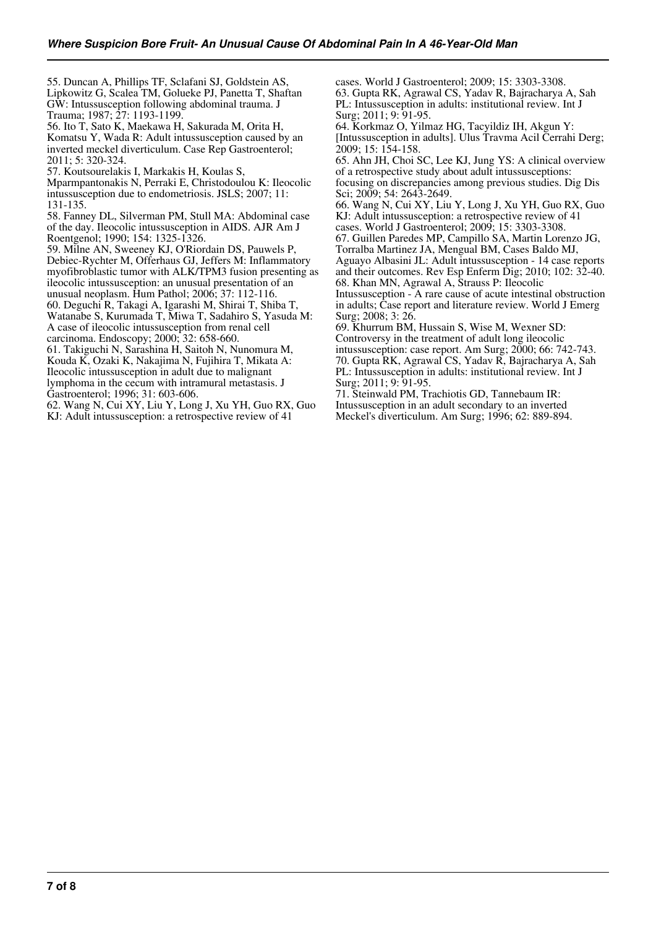55. Duncan A, Phillips TF, Sclafani SJ, Goldstein AS, Lipkowitz G, Scalea TM, Golueke PJ, Panetta T, Shaftan GW: Intussusception following abdominal trauma. J Trauma; 1987; 27: 1193-1199.

56. Ito T, Sato K, Maekawa H, Sakurada M, Orita H, Komatsu Y, Wada R: Adult intussusception caused by an inverted meckel diverticulum. Case Rep Gastroenterol; 2011; 5: 320-324.

57. Koutsourelakis I, Markakis H, Koulas S,

Mparmpantonakis N, Perraki E, Christodoulou K: Ileocolic intussusception due to endometriosis. JSLS; 2007; 11: 131-135.

58. Fanney DL, Silverman PM, Stull MA: Abdominal case of the day. Ileocolic intussusception in AIDS. AJR Am J Roentgenol; 1990; 154: 1325-1326.

59. Milne AN, Sweeney KJ, O'Riordain DS, Pauwels P, Debiec-Rychter M, Offerhaus GJ, Jeffers M: Inflammatory myofibroblastic tumor with ALK/TPM3 fusion presenting as ileocolic intussusception: an unusual presentation of an unusual neoplasm. Hum Pathol; 2006; 37: 112-116.

60. Deguchi R, Takagi A, Igarashi M, Shirai T, Shiba T,

Watanabe S, Kurumada T, Miwa T, Sadahiro S, Yasuda M: A case of ileocolic intussusception from renal cell carcinoma. Endoscopy; 2000; 32: 658-660.

61. Takiguchi N, Sarashina H, Saitoh N, Nunomura M, Kouda K, Ozaki K, Nakajima N, Fujihira T, Mikata A: Ileocolic intussusception in adult due to malignant lymphoma in the cecum with intramural metastasis. J Gastroenterol; 1996; 31: 603-606.

62. Wang N, Cui XY, Liu Y, Long J, Xu YH, Guo RX, Guo KJ: Adult intussusception: a retrospective review of 41

cases. World J Gastroenterol; 2009; 15: 3303-3308. 63. Gupta RK, Agrawal CS, Yadav R, Bajracharya A, Sah PL: Intussusception in adults: institutional review. Int J Surg; 2011; 9: 91-95.

64. Korkmaz O, Yilmaz HG, Tacyildiz IH, Akgun Y: [Intussusception in adults]. Ulus Travma Acil Cerrahi Derg; 2009; 15: 154-158.

65. Ahn JH, Choi SC, Lee KJ, Jung YS: A clinical overview of a retrospective study about adult intussusceptions: focusing on discrepancies among previous studies. Dig Dis Sci; 2009; 54: 2643-2649.

66. Wang N, Cui XY, Liu Y, Long J, Xu YH, Guo RX, Guo KJ: Adult intussusception: a retrospective review of 41 cases. World J Gastroenterol; 2009; 15: 3303-3308.

67. Guillen Paredes MP, Campillo SA, Martin Lorenzo JG, Torralba Martinez JA, Mengual BM, Cases Baldo MJ, Aguayo Albasini JL: Adult intussusception - 14 case reports

and their outcomes. Rev Esp Enferm Dig; 2010; 102: 32-40. 68. Khan MN, Agrawal A, Strauss P: Ileocolic

Intussusception - A rare cause of acute intestinal obstruction in adults; Case report and literature review. World J Emerg Surg; 2008; 3: 26.

69. Khurrum BM, Hussain S, Wise M, Wexner SD: Controversy in the treatment of adult long ileocolic intussusception: case report. Am Surg; 2000; 66: 742-743. 70. Gupta RK, Agrawal CS, Yadav R, Bajracharya A, Sah PL: Intussusception in adults: institutional review. Int J Surg; 2011; 9: 91-95.

71. Steinwald PM, Trachiotis GD, Tannebaum IR: Intussusception in an adult secondary to an inverted Meckel's diverticulum. Am Surg; 1996; 62: 889-894.